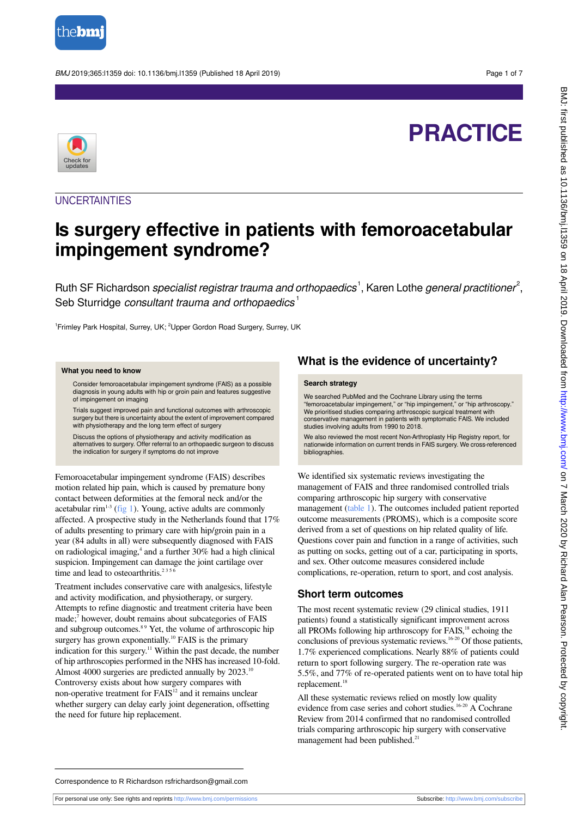

BMJ 2019;365:l1359 doi: 10.1136/bmj.l1359 (Published 18 April 2019) Page 1 of 7

# **PRACTICE**



**UNCERTAINTIES** 

## **Is surgery effective in patients with femoroacetabular impingement syndrome?**

Ruth SF Richardson *specialist registrar trauma and orthopaedics*<sup>1</sup>, Karen Lothe *general practitioner<sup>2</sup>,* Seb Sturridge consultant trauma and orthopaedics<sup>1</sup>

<sup>1</sup>Frimley Park Hospital, Surrey, UK; <sup>2</sup>Upper Gordon Road Surgery, Surrey, UK

#### **What you need to know**

Consider femoroacetabular impingement syndrome (FAIS) as a possible diagnosis in young adults with hip or groin pain and features suggestive of impingement on imaging

Trials suggest improved pain and functional outcomes with arthroscopic surgery but there is uncertainty about the extent of improvement compared with physiotherapy and the long term effect of surgery

Discuss the options of physiotherapy and activity modification as alternatives to surgery. Offer referral to an orthopaedic surgeon to discuss the indication for surgery if symptoms do not improve

Femoroacetabular impingement syndrome (FAIS) describes motion related hip pain, which is caused by premature bony contact between deformities at the femoral neck and/or the acetabular rim<sup>1-3</sup> ([fig 1\)](#page-5-0). Young, active adults are commonly affected. A prospective study in the Netherlands found that 17% of adults presenting to primary care with hip/groin pain in a year (84 adults in all) were subsequently diagnosed with FAIS on radiological imaging,<sup>4</sup> and a further 30% had a high clinical suspicion. Impingement can damage the joint cartilage over time and lead to osteoarthritis.<sup>2356</sup>

Treatment includes conservative care with analgesics, lifestyle and activity modification, and physiotherapy, or surgery. Attempts to refine diagnostic and treatment criteria have been made;<sup>7</sup> however, doubt remains about subcategories of FAIS and subgroup outcomes.<sup>89</sup> Yet, the volume of arthroscopic hip surgery has grown exponentially.<sup>10</sup> FAIS is the primary indication for this surgery.<sup>11</sup> Within the past decade, the number of hip arthroscopies performed in the NHS has increased 10-fold. Almost 4000 surgeries are predicted annually by 2023.<sup>10</sup> Controversy exists about how surgery compares with non-operative treatment for FAIS<sup>12</sup> and it remains unclear whether surgery can delay early joint degeneration, offsetting the need for future hip replacement.

## **What is the evidence of uncertainty?**

#### **Search strategy**

We searched PubMed and the Cochrane Library using the terms "femoroacetabular impingement," or "hip impingement," or "hip arthroscopy." We prioritised studies comparing arthroscopic surgical treatment with conservative management in patients with symptomatic FAIS. We included studies involving adults from 1990 to 2018.

We also reviewed the most recent Non-Arthroplasty Hip Registry report, for nationwide information on current trends in FAIS surgery. We cross-referenced bibliographies.

We identified six systematic reviews investigating the management of FAIS and three randomised controlled trials comparing arthroscopic hip surgery with conservative management [\(table 1](#page-3-0)). The outcomes included patient reported outcome measurements (PROMS), which is a composite score derived from a set of questions on hip related quality of life. Questions cover pain and function in a range of activities, such as putting on socks, getting out of a car, participating in sports, and sex. Other outcome measures considered include complications, re-operation, return to sport, and cost analysis.

## **Short term outcomes**

The most recent systematic review (29 clinical studies, 1911 patients) found a statistically significant improvement across all PROMs following hip arthroscopy for FAIS,<sup>18</sup> echoing the conclusions of previous systematic reviews.<sup>16-20</sup> Of those patients, 1.7% experienced complications. Nearly 88% of patients could return to sport following surgery. The re-operation rate was 5.5%, and 77% of re-operated patients went on to have total hip replacement.<sup>18</sup>

All these systematic reviews relied on mostly low quality evidence from case series and cohort studies.<sup>16-20</sup> A Cochrane Review from 2014 confirmed that no randomised controlled trials comparing arthroscopic hip surgery with conservative management had been published.<sup>21</sup>

Correspondence to R Richardson rsfrichardson@gmail.com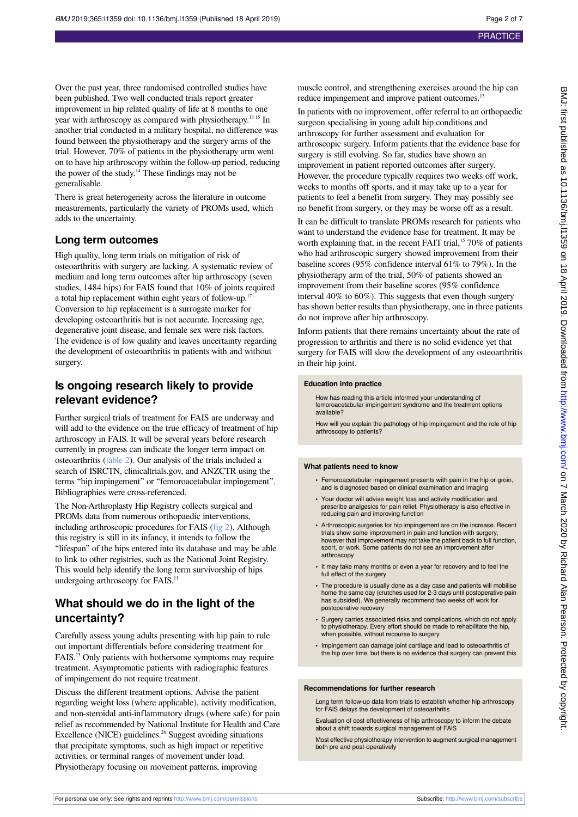BMJ: first published as 10.1136/bmj.11359 on 18 April 2019. Downloaded from http://www.bmj.com/ on 7 March 2020 by Richard Alan Pearson. Protected by copyright BMJ: first published as 10.1136/bmj.11359 on 18 April 2019. Downloaded from <http://www.bmj.com/> on 7 March 2020 by Richard Alan Pearson. Protected by copyright.

Over the past year, three randomised controlled studies have been published. Two well conducted trials report greater improvement in hip related quality of life at 8 months to one year with arthroscopy as compared with physiotherapy.<sup>13 15</sup> In another trial conducted in a military hospital, no difference was found between the physiotherapy and the surgery arms of the trial. However, 70% of patients in the physiotherapy arm went on to have hip arthroscopy within the follow-up period, reducing the power of the study. $14$  These findings may not be generalisable.

There is great heterogeneity across the literature in outcome measurements, particularly the variety of PROMs used, which adds to the uncertainty.

### **Long term outcomes**

High quality, long term trials on mitigation of risk of osteoarthritis with surgery are lacking. A systematic review of medium and long term outcomes after hip arthroscopy (seven studies, 1484 hips) for FAIS found that 10% of joints required a total hip replacement within eight years of follow-up.<sup>17</sup> Conversion to hip replacement is a surrogate marker for developing osteoarthritis but is not accurate. Increasing age, degenerative joint disease, and female sex were risk factors. The evidence is of low quality and leaves uncertainty regarding the development of osteoarthritis in patients with and without surgery.

## **Is ongoing research likely to provide relevant evidence?**

Further surgical trials of treatment for FAIS are underway and will add to the evidence on the true efficacy of treatment of hip arthroscopy in FAIS. It will be several years before research currently in progress can indicate the longer term impact on osteoarthritis [\(table 2\)](#page-4-0). Our analysis of the trials included a search of ISRCTN, clinicaltrials.gov, and ANZCTR using the terms "hip impingement" or "femoroacetabular impingement". Bibliographies were cross-referenced.

The Non-Arthroplasty Hip Registry collects surgical and PROMs data from numerous orthopaedic interventions, including arthroscopic procedures for FAIS ([fig 2\)](#page-6-0). Although this registry is still in its infancy, it intends to follow the "lifespan" of the hips entered into its database and may be able to link to other registries, such as the National Joint Registry. This would help identify the long term survivorship of hips undergoing arthroscopy for FAIS.<sup>11</sup>

## **What should we do in the light of the uncertainty?**

Carefully assess young adults presenting with hip pain to rule out important differentials before considering treatment for FAIS.<sup>25</sup> Only patients with bothersome symptoms may require treatment. Asymptomatic patients with radiographic features of impingement do not require treatment.

Discuss the different treatment options. Advise the patient regarding weight loss (where applicable), activity modification, and non-steroidal anti-inflammatory drugs (where safe) for pain relief as recommended by National Institute for Health and Care Excellence (NICE) guidelines.<sup>26</sup> Suggest avoiding situations that precipitate symptoms, such as high impact or repetitive activities, or terminal ranges of movement under load. Physiotherapy focusing on movement patterns, improving

muscle control, and strengthening exercises around the hip can reduce impingement and improve patient outcomes.<sup>13</sup>

In patients with no improvement, offer referral to an orthopaedic surgeon specialising in young adult hip conditions and arthroscopy for further assessment and evaluation for arthroscopic surgery. Inform patients that the evidence base for surgery is still evolving. So far, studies have shown an improvement in patient reported outcomes after surgery. However, the procedure typically requires two weeks off work, weeks to months off sports, and it may take up to a year for patients to feel a benefit from surgery. They may possibly see no benefit from surgery, or they may be worse off as a result.

It can be difficult to translate PROMs research for patients who want to understand the evidence base for treatment. It may be worth explaining that, in the recent FAIT trial,<sup>15</sup> 70% of patients who had arthroscopic surgery showed improvement from their baseline scores (95% confidence interval 61% to 79%). In the physiotherapy arm of the trial, 50% of patients showed an improvement from their baseline scores (95% confidence interval 40% to 60%). This suggests that even though surgery has shown better results than physiotherapy, one in three patients do not improve after hip arthroscopy.

Inform patients that there remains uncertainty about the rate of progression to arthritis and there is no solid evidence yet that surgery for FAIS will slow the development of any osteoarthritis in their hip joint.

#### **Education into practice**

How has reading this article informed your understanding of femoroacetabular impingement syndrome and the treatment options available?

How will you explain the pathology of hip impingement and the role of hip arthroscopy to patients?

#### **What patients need to know**

- Femoroacetabular impingement presents with pain in the hip or groin and is diagnosed based on clinical examination and imaging
- **•** Your doctor will advise weight loss and activity modification and prescribe analgesics for pain relief. Physiotherapy is also effective in reducing pain and improving function
- **•** Arthroscopic surgeries for hip impingement are on the increase. Recent trials show some improvement in pain and function with surgery, however that improvement may not take the patient back to full function, sport, or work. Some patients do not see an improvement after arthroscopy
- **•** It may take many months or even a year for recovery and to feel the full effect of the surgery
- **•** The procedure is usually done as a day case and patients will mobilise home the same day (crutches used for 2-3 days until postoperative pain has subsided). We generally recommend two weeks off work for postoperative recovery
- **•** Surgery carries associated risks and complications, which do not apply to physiotherapy. Every effort should be made to rehabilitate the hip, when possible, without recourse to surgery
- **•** Impingement can damage joint cartilage and lead to osteoarthritis of the hip over time, but there is no evidence that surgery can prevent this

#### **Recommendations for further research**

Long term follow-up data from trials to establish whether hip arthroscopy for FAIS delays the development of osteoarthritis

Evaluation of cost effectiveness of hip arthroscopy to inform the debate about a shift towards surgical management of FAIS

Most effective physiotherapy intervention to augment surgical management both pre and post-operatively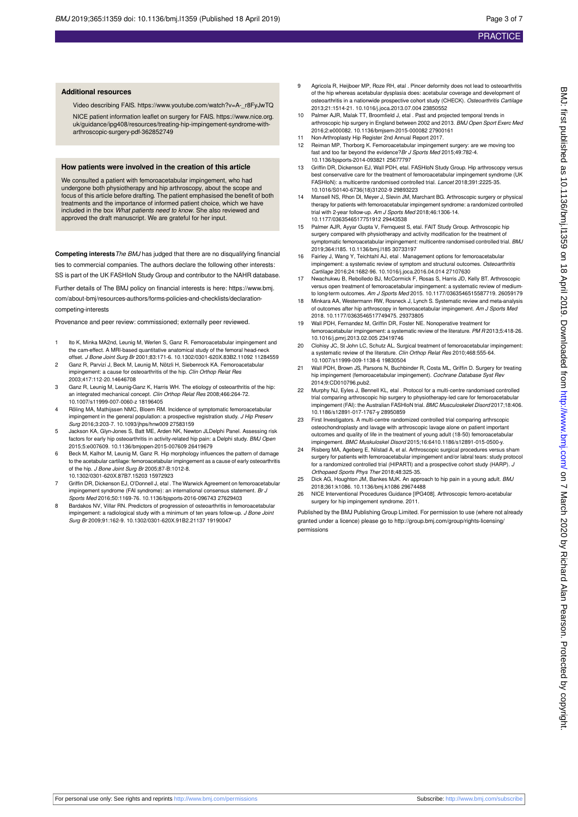#### **Additional resources**

Video describing FAIS. https://www.youtube.com/watch?v=A-\_r8FyJwTQ

NICE patient information leaflet on surgery for FAIS. https://www.nice.org. uk/guidance/ipg408/resources/treating-hip-impingement-syndrome-with-arthroscopic-surgery-pdf-362852749

#### **How patients were involved in the creation of this article**

We consulted a patient with femoroacetabular impingement, who had undergone both physiotherapy and hip arthroscopy, about the scope and focus of this article before drafting. The patient emphasised the benefit of both treatments and the importance of informed patient choice, which we have included in the box What patients need to know. She also reviewed and approved the draft manuscript. We are grateful for her input.

**Competing interests** The BMJ has judged that there are no disqualifying financial ties to commercial companies. The authors declare the following other interests:

SS is part of the UK FASHIoN Study Group and contributor to the NAHR database.

Further details of The BMJ policy on financial interests is here: https://www.bmj. com/about-bmj/resources-authors/forms-policies-and-checklists/declarationcompeting-interests

Provenance and peer review: commissioned; externally peer reviewed.

- Ito K, Minka MA2nd, Leunig M, Werlen S, Ganz R. Femoroacetabular impingement and the cam-effect. A MRI-based quantitative anatomical study of the femoral head-neck offset. *J Bone Joint Surg Br* 2001;83:171-6. 10.1302/0301-620X.83B2.11092 11284559
- 2 Ganz R, Parvizi J, Beck M, Leunig M, Nötzli H, Siebenrock KA. Femoroacetabular impingement: a cause for osteoarthritis of the hip. Clin Orthop Relat Res 2003;417:112-20.14646708
- 3 Ganz R, Leunig M, Leunig-Ganz K, Harris WH. The etiology of osteoarthritis of the hip: an integrated mechanical concept. Clin Orthop Relat Res 2008;466:264-72. 10.1007/s11999-007-0060-z 18196405
- 4 Röling MA, Mathijssen NMC, Bloem RM. Incidence of symptomatic femoroacetabular impingement in the general population: a prospective registration study. J Hip Preserv Surg 2016;3:203-7. 10.1093/jhps/hnw009 27583159
- 5 Jackson KA, Glyn-Jones S, Batt ME, Arden NK, Newton JLDelphi Panel. Assessing risk factors for early hip osteoarthritis in activity-related hip pain: a Delphi study. BMJ Open 2015;5:e007609. 10.1136/bmjopen-2015-007609 26419679
- 6 Beck M, Kalhor M, Leunig M, Ganz R. Hip morphology influences the pattern of damage to the acetabular cartilage: femoroacetabular impingement as a cause of early osteoarthritis of the hip. J Bone Joint Surg Br 2005;87-B:1012-8. 10.1302/0301-620X.87B7.15203 15972923
- 7 Griffin DR, Dickenson EJ, O'Donnell J, etal . The Warwick Agreement on femoroacetabular impingement syndrome (FAI syndrome): an international consensus statement. Br J Sports Med 2016;50:1169-76. 10.1136/bjsports-2016-096743 27629403
- 8 Bardakos NV, Villar RN. Predictors of progression of osteoarthritis in femoroacetabular impingement: a radiological study with a minimum of ten years follow-up. J Bone Joint Surg Br 2009;91:162-9. 10.1302/0301-620X.91B2.21137 19190047
- 9 Agricola R, Heijboer MP, Roze RH, etal . Pincer deformity does not lead to osteoarthritis of the hip whereas acetabular dysplasia does: acetabular coverage and development of osteoarthritis in a nationwide prospective cohort study (CHECK). Osteoarthritis Cartilage 2013;21:1514-21. 10.1016/j.joca.2013.07.004 23850552
- 10 Palmer AJR, Malak TT, Broomfield J, etal . Past and projected temporal trends in arthroscopic hip surgery in England between 2002 and 2013. BMJ Open Sport Exerc Med 2016;2:e000082. 10.1136/bmjsem-2015-000082 27900161
- 11 Non-Arthroplasty Hip Register 2nd Annual Report 2017. 12 Reiman MP, Thorborg K. Femoroacetabular impingement surgery: are we moving too
- fast and too far beyond the evidence?Br J Sports Med 2015;49:782-4. 10.1136/bjsports-2014-093821 25677797
- 13 Griffin DR, Dickenson EJ, Wall PDH, etal. FASHIoN Study Group. Hip arthroscopy versus best conservative care for the treatment of femoroacetabular impingement syndrome (UK FASHIoN): a multicentre randomised controlled trial. Lancet 2018;391:2225-35. 10.1016/S0140-6736(18)31202-9 29893223
- 14 Mansell NS, Rhon DI, Meyer J, Slevin JM, Marchant BG. Arthroscopic surgery or physical therapy for patients with femoroacetabular impingement syndrome: a randomized controlled trial with 2-year follow-up. Am J Sports Med 2018;46:1306-14. 10.1177/0363546517751912 29443538
- 15 Palmer AJR, Ayyar Gupta V, Fernquest S, etal. FAIT Study Group. Arthroscopic hip surgery compared with physiotherapy and activity modification for the treatment of ptomatic femoroacetabular impingement: multicentre randomised controlled trial. BMJ 2019;364:l185. 10.1136/bmj.l185 30733197
- 16 Fairley J, Wang Y, Teichtahl AJ, etal . Management options for femoroacetabular impingement: a systematic review of symptom and structural outcomes. Osteoarthritis Cartilage 2016;24:1682-96. 10.1016/j.joca.2016.04.014 27107630
- 17 Nwachukwu B, Rebolledo BJ, McCormick F, Rosas S, Harris JD, Kelly BT. Arthroscopic versus open treatment of femoroacetabular impingement: a systematic review of mediumto long-term outcomes. Am J Sports Med 2015. 10.1177/0363546515587719. 26059179
- 18 Minkara AA, Westermann RW, Rosneck J, Lynch S. Systematic review and meta-analysis of outcomes after hip arthroscopy in femoroacetabular impingement. Am J Sports Med 2018. 10.1177/0363546517749475. 29373805
- 19 Wall PDH, Fernandez M, Griffin DR, Foster NE. Nonoperative treatment for femoroacetabular impingement: a systematic review of the literature. PM R 2013;5:418-26. 10.1016/j.pmrj.2013.02.005 23419746
- Clohisy JC, St John LC, Schutz AL. Surgical treatment of femoroacetabular impingement: a systematic review of the literature. Clin Orthop Relat Res 2010;468:555-64. 10.1007/s11999-009-1138-6 19830504
- 21 Wall PDH, Brown JS, Parsons N, Buchbinder R, Costa ML, Griffin D. Surgery for treating hip impingement (femoroacetabular impingement). Cochrane Database Syst Rev 2014;9:CD010796.pub2.
- 22 Murphy NJ, Eyles J, Bennell KL, etal . Protocol for a multi-centre randomised controlled trial comparing arthroscopic hip surgery to physiotherapy-led care for femoroacetabul impingement (FAI): the Australian FASHIoN trial. BMC Musculoskelet Disord 2017;18:406. 10.1186/s12891-017-1767-y 28950859
- 23 First Investigators. A multi-centre randomized controlled trial comparing arthrscopic osteochondroplasty and lavage with arthroscopic lavage alone on patient important outcomes and quality of life in the treatment of young adult (18-50) femoroacetabular impingement. BMC Muskuloskel Disord 2015;16:6410.1186/s12891-015-0500-y.
- 24 Risberg MA, Ageberg E, Nilstad A, et al. Arthroscopic surgical procedures versus sham surgery for patients with femoroacetabular impingement and/or labral tears: study protocol for a randomized controlled trial (HIPARTI) and a prospective cohort study (HARP). J Orthopaed Sports Phys Ther 2018;48:325-35.
- 25 Dick AG, Houghton JM, Bankes MJK. An approach to hip pain in a young adult. BMJ 2018;361:k1086. 10.1136/bmj.k1086 29674488
- 26 NICE Interventional Procedures Guidance [IPG408]. Arthroscopic femoro-acetabular surgery for hip impingement syndrome. 2011.

Published by the BMJ Publishing Group Limited. For permission to use (where not already granted under a licence) please go to [http://group.bmj.com/group/rights-licensing/](http://group.bmj.com/group/rights-licensing/permissions) [permissions](http://group.bmj.com/group/rights-licensing/permissions)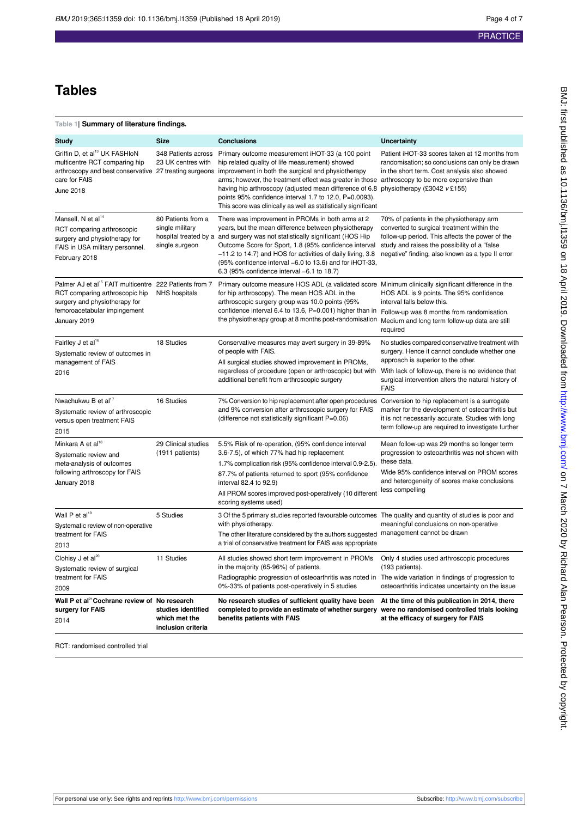## **Tables**

### <span id="page-3-0"></span>**Table 1| Summary of literature findings.**

| Wall P et al <sup>21</sup> Cochrane review of No research<br>surgery for FAIS<br>2014                                                                                                 | studies identified<br>which met the<br>inclusion criteria | No research studies of sufficient quality have been<br>completed to provide an estimate of whether surgery<br>benefits patients with FAIS                                                                                                                                                                                                                                                                                                                                                                                                                       | At the time of this publication in 2014, there<br>were no randomised controlled trials looking<br>at the efficacy of surgery for FAIS                                                                                                                                         |
|---------------------------------------------------------------------------------------------------------------------------------------------------------------------------------------|-----------------------------------------------------------|-----------------------------------------------------------------------------------------------------------------------------------------------------------------------------------------------------------------------------------------------------------------------------------------------------------------------------------------------------------------------------------------------------------------------------------------------------------------------------------------------------------------------------------------------------------------|-------------------------------------------------------------------------------------------------------------------------------------------------------------------------------------------------------------------------------------------------------------------------------|
| treatment for FAIS<br>2009                                                                                                                                                            |                                                           | Radiographic progression of osteoarthritis was noted in The wide variation in findings of progression to<br>0%-33% of patients post-operatively in 5 studies                                                                                                                                                                                                                                                                                                                                                                                                    | osteoarthritis indicates uncertainty on the issue                                                                                                                                                                                                                             |
| Clohisy J et al <sup>20</sup><br>Systematic review of surgical                                                                                                                        |                                                           | in the majority (65-96%) of patients.                                                                                                                                                                                                                                                                                                                                                                                                                                                                                                                           | (193 patients).                                                                                                                                                                                                                                                               |
| 2013                                                                                                                                                                                  | 11 Studies                                                | All studies showed short term improvement in PROMs                                                                                                                                                                                                                                                                                                                                                                                                                                                                                                              | Only 4 studies used arthroscopic procedures                                                                                                                                                                                                                                   |
| Systematic review of non-operative<br>treatment for FAIS                                                                                                                              |                                                           | with physiotherapy.<br>The other literature considered by the authors suggested<br>a trial of conservative treatment for FAIS was appropriate                                                                                                                                                                                                                                                                                                                                                                                                                   | meaningful conclusions on non-operative<br>management cannot be drawn                                                                                                                                                                                                         |
| Wall P et al <sup>19</sup>                                                                                                                                                            | 29 Clinical studies<br>(1911 patients)<br>5 Studies       | 3 Of the 5 primary studies reported favourable outcomes The quality and quantity of studies is poor and                                                                                                                                                                                                                                                                                                                                                                                                                                                         |                                                                                                                                                                                                                                                                               |
| following arthroscopy for FAIS<br>January 2018                                                                                                                                        |                                                           | 87.7% of patients returned to sport (95% confidence<br>interval 82.4 to 92.9)<br>All PROM scores improved post-operatively (10 different<br>scoring systems used)                                                                                                                                                                                                                                                                                                                                                                                               | Wide 95% confidence interval on PROM scores<br>and heterogeneity of scores make conclusions<br>less compelling                                                                                                                                                                |
| Minkara A et al <sup>18</sup><br>Systematic review and<br>meta-analysis of outcomes                                                                                                   |                                                           | 5.5% Risk of re-operation, (95% confidence interval<br>3.6-7.5), of which 77% had hip replacement<br>1.7% complication risk (95% confidence interval 0.9-2.5).                                                                                                                                                                                                                                                                                                                                                                                                  | marker for the development of osteoarthritis but<br>it is not necessarily accurate. Studies with long<br>term follow-up are required to investigate further<br>Mean follow-up was 29 months so longer term<br>progression to osteoarthritis was not shown with<br>these data. |
| Systematic review of arthroscopic<br>versus open treatment FAIS<br>2015                                                                                                               |                                                           | and 9% conversion after arthroscopic surgery for FAIS<br>(difference not statistically significant P=0.06)                                                                                                                                                                                                                                                                                                                                                                                                                                                      |                                                                                                                                                                                                                                                                               |
| Nwachukwu B et al <sup>17</sup>                                                                                                                                                       | 16 Studies                                                | 7% Conversion to hip replacement after open procedures                                                                                                                                                                                                                                                                                                                                                                                                                                                                                                          | Conversion to hip replacement is a surrogate                                                                                                                                                                                                                                  |
| Fairlley J et al <sup>16</sup><br>Systematic review of outcomes in<br>management of FAIS<br>2016                                                                                      | 18 Studies                                                | Conservative measures may avert surgery in 39-89%<br>of people with FAIS.<br>All surgical studies showed improvement in PROMs,<br>regardless of procedure (open or arthroscopic) but with<br>additional benefit from arthroscopic surgery                                                                                                                                                                                                                                                                                                                       | No studies compared conservative treatment with<br>surgery. Hence it cannot conclude whether one<br>approach is superior to the other.<br>With lack of follow-up, there is no evidence that<br>surgical intervention alters the natural history of<br><b>FAIS</b>             |
| Palmer AJ et al <sup>15</sup> FAIT multicentre 222 Patients from 7<br>RCT comparing arthroscopic hip<br>surgery and physiotherapy for<br>femoroacetabular impingement<br>January 2019 | NHS hospitals                                             | Primary outcome measure HOS ADL (a validated score Minimum clinically significant difference in the<br>for hip arthroscopy). The mean HOS ADL in the<br>arthroscopic surgery group was 10.0 points (95%<br>confidence interval 6.4 to 13.6, P=0.001) higher than in<br>the physiotherapy group at 8 months post-randomisation                                                                                                                                                                                                                                   | HOS ADL is 9 points. The 95% confidence<br>interval falls below this.<br>Follow-up was 8 months from randomisation.<br>Medium and long term follow-up data are still<br>required                                                                                              |
| Mansell, N et al <sup>14</sup><br>RCT comparing arthroscopic<br>surgery and physiotherapy for<br>FAIS in USA military personnel.<br>February 2018                                     | 80 Patients from a<br>single military<br>single surgeon   | There was improvement in PROMs in both arms at 2<br>years, but the mean difference between physiotherapy<br>hospital treated by a and surgery was not statistically significant (HOS Hip<br>Outcome Score for Sport, 1.8 (95% confidence interval<br>-11.2 to 14.7) and HOS for activities of daily living, 3.8<br>(95% confidence interval -6.0 to 13.6) and for iHOT-33,<br>6.3 (95% confidence interval -6.1 to 18.7)                                                                                                                                        | 70% of patients in the physiotherapy arm<br>converted to surgical treatment within the<br>follow-up period. This affects the power of the<br>study and raises the possibility of a "false"<br>negative" finding, also known as a type II error                                |
| Griffin D, et al <sup>13</sup> UK FASHIoN<br>multicentre RCT comparing hip<br>care for FAIS<br>June 2018                                                                              | 348 Patients across<br>23 UK centres with                 | Primary outcome measurement iHOT-33 (a 100 point<br>hip related quality of life measurement) showed<br>arthroscopy and best conservative 27 treating surgeons improvement in both the surgical and physiotherapy<br>arms; however, the treatment effect was greater in those arthroscopy to be more expensive than<br>having hip arthroscopy (adjusted mean difference of 6.8 physiotherapy (£3042 $v \, \text{\textsterling}155$ )<br>points 95% confidence interval 1.7 to 12.0, P=0.0093).<br>This score was clinically as well as statistically significant | Patient iHOT-33 scores taken at 12 months from<br>randomisation; so conclusions can only be drawn<br>in the short term. Cost analysis also showed                                                                                                                             |
| <b>Study</b>                                                                                                                                                                          | <b>Size</b>                                               | <b>Conclusions</b>                                                                                                                                                                                                                                                                                                                                                                                                                                                                                                                                              | <b>Uncertainty</b>                                                                                                                                                                                                                                                            |

RCT: randomised controlled trial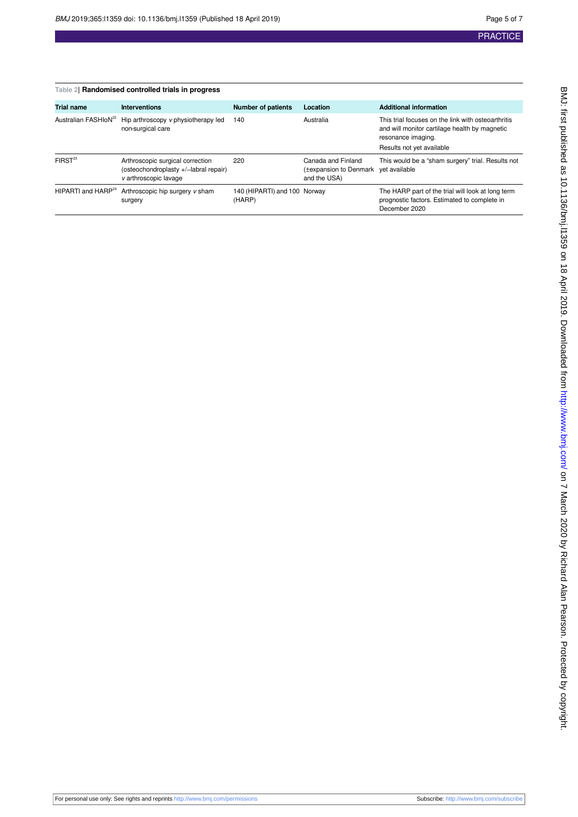<span id="page-4-0"></span>

| Table 2  Randomised controlled trials in progress |                                                                                                    |                                        |                                                                            |                                                                                                                           |  |  |  |
|---------------------------------------------------|----------------------------------------------------------------------------------------------------|----------------------------------------|----------------------------------------------------------------------------|---------------------------------------------------------------------------------------------------------------------------|--|--|--|
| <b>Trial name</b>                                 | <b>Interventions</b>                                                                               | <b>Number of patients</b>              | Location                                                                   | <b>Additional information</b>                                                                                             |  |  |  |
| Australian FASHIoN <sup>22</sup>                  | Hip arthroscopy v physiotherapy led<br>non-surgical care                                           | 140                                    | Australia                                                                  | This trial focuses on the link with osteoarthritis<br>and will monitor cartilage health by magnetic<br>resonance imaging. |  |  |  |
|                                                   |                                                                                                    |                                        |                                                                            | Results not yet available                                                                                                 |  |  |  |
| FIRST <sup>23</sup>                               | Arthroscopic surgical correction<br>(osteochondroplasty +/-labral repair)<br>v arthroscopic lavage | 220                                    | Canada and Finland<br>(±expansion to Denmark yet available<br>and the USA) | This would be a "sham surgery" trial. Results not                                                                         |  |  |  |
| HIPARTI and $HAP^{24}$                            | Arthroscopic hip surgery v sham<br>surgery                                                         | 140 (HIPARTI) and 100 Norway<br>(HARP) |                                                                            | The HARP part of the trial will look at long term<br>prognostic factors. Estimated to complete in<br>December 2020        |  |  |  |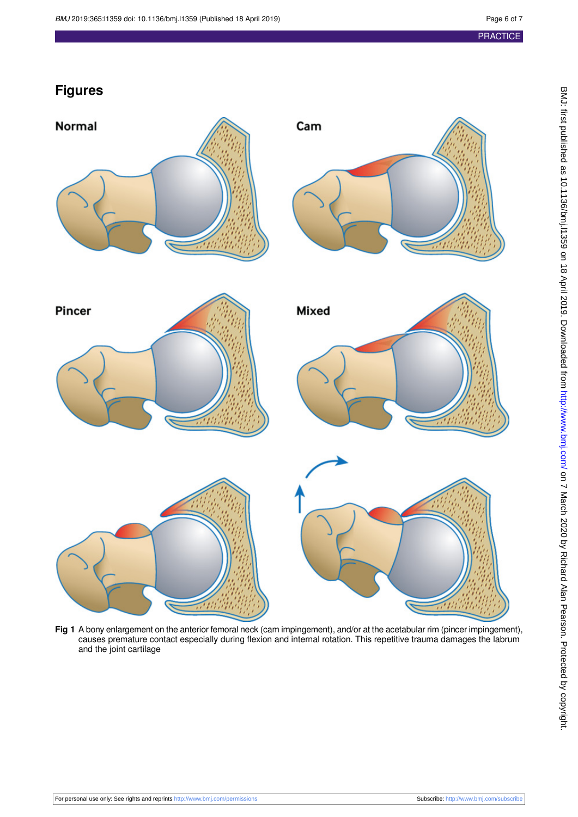## **Figures**

<span id="page-5-0"></span>

**Fig 1** A bony enlargement on the anterior femoral neck (cam impingement), and/or at the acetabular rim (pincer impingement), causes premature contact especially during flexion and internal rotation. This repetitive trauma damages the labrum and the joint cartilage